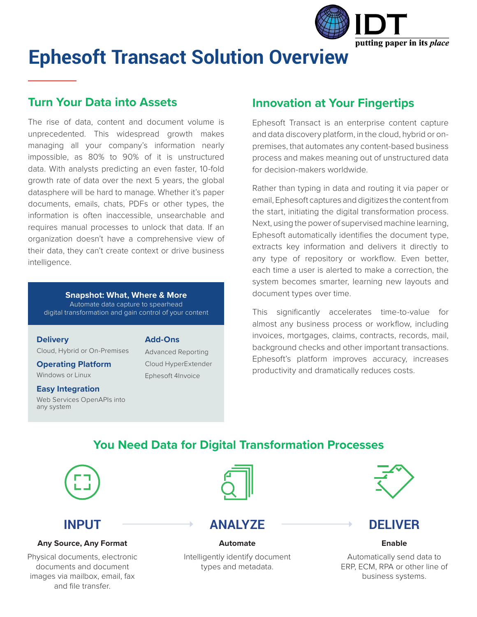

# **Ephesoft Transact Solution Overview**

#### **Turn Your Data into Assets**

The rise of data, content and document volume is unprecedented. This widespread growth makes managing all your company's information nearly impossible, as 80% to 90% of it is unstructured data. With analysts predicting an even faster, 10-fold growth rate of data over the next 5 years, the global datasphere will be hard to manage. Whether it's paper documents, emails, chats, PDFs or other types, the information is often inaccessible, unsearchable and requires manual processes to unlock that data. If an organization doesn't have a comprehensive view of their data, they can't create context or drive business intelligence.

#### **Snapshot: What, Where & More** Automate data capture to spearhead

digital transformation and gain control of your content

#### **Delivery**

Cloud, Hybrid or On-Premises

#### **Operating Platform**

Windows or Linux

#### **Easy Integration**

Web Services OpenAPIs into any system

#### **Add-Ons**

Advanced Reporting Cloud HyperExtender Ephesoft 4Invoice

### **Innovation at Your Fingertips**

Ephesoft Transact is an enterprise content capture and data discovery platform, in the cloud, hybrid or onpremises, that automates any content-based business process and makes meaning out of unstructured data for decision-makers worldwide.

Rather than typing in data and routing it via paper or email, Ephesoft captures and digitizes the content from the start, initiating the digital transformation process. Next, using the power of supervised machine learning, Ephesoft automatically identifies the document type, extracts key information and delivers it directly to any type of repository or workflow. Even better, each time a user is alerted to make a correction, the system becomes smarter, learning new layouts and document types over time.

This significantly accelerates time-to-value for almost any business process or workflow, including invoices, mortgages, claims, contracts, records, mail, background checks and other important transactions. Ephesoft's platform improves accuracy, increases productivity and dramatically reduces costs.

### **You Need Data for Digital Transformation Processes**



# **INPUT**

#### **Any Source, Any Format**

Physical documents, electronic documents and document images via mailbox, email, fax and file transfer.



## **ANALYZE**

Intelligently identify document types and metadata.

**Automate**



### **DELIVER**

**Enable**

Automatically send data to ERP, ECM, RPA or other line of business systems.